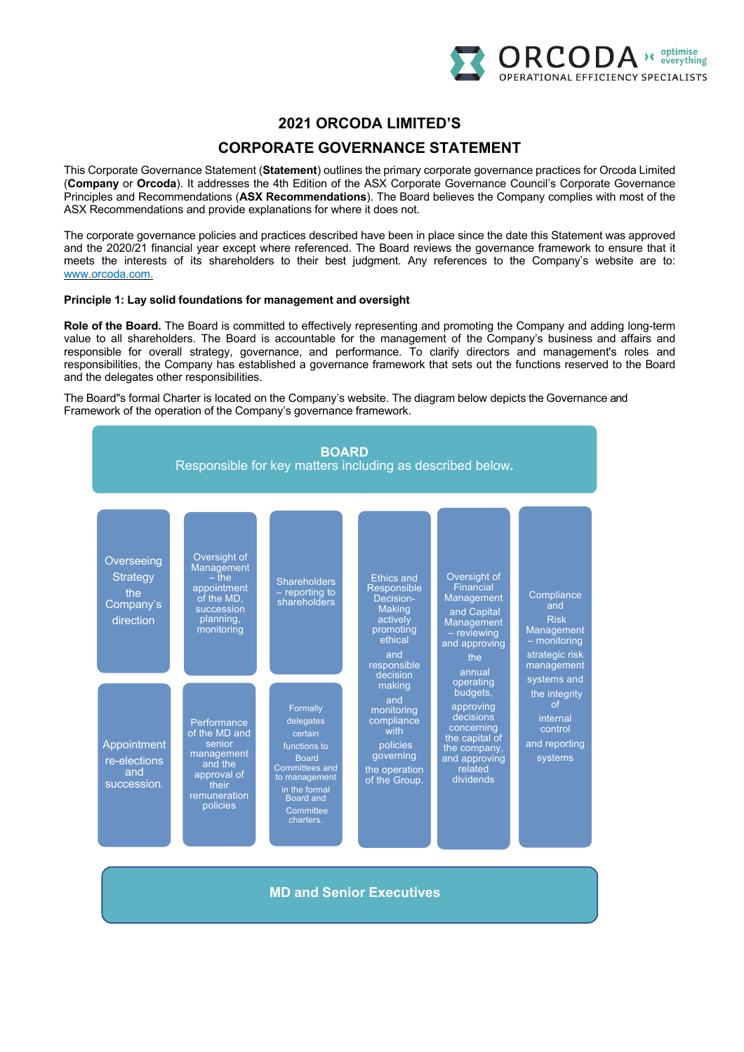

# **2021 ORCODA LIMITED'S**

## **CORPORATE GOVERNANCE STATEMENT**

This Corporate Governance Statement (**Statement**) outlines the primary corporate governance practices for Orcoda Limited (**Company** or **Orcoda**). It addresses the 4th Edition of the ASX Corporate Governance Council's Corporate Governance Principles and Recommendations (**ASX Recommendations**). The Board believes the Company complies with most of the ASX Recommendations and provide explanations for where it does not.

The corporate governance policies and practices described have been in place since the date this Statement was approved and the 2020/21 financial year except where referenced. The Board reviews the governance framework to ensure that it meets the interests of its shareholders to their best judgment. Any references to the Company's website are to: www.orcoda.com.

#### **Principle 1: Lay solid foundations for management and oversight**

**Role of the Board.** The Board is committed to effectively representing and promoting the Company and adding long-term value to all shareholders. The Board is accountable for the management of the Company's business and affairs and responsible for overall strategy, governance, and performance. To clarify directors and management's roles and responsibilities, the Company has established a governance framework that sets out the functions reserved to the Board and the delegates other responsibilities.

The Board"s formal Charter is located on the Company's website. The diagram below depicts the Governance and Framework of the operation of the Company's governance framework.



**MD and Senior Executives**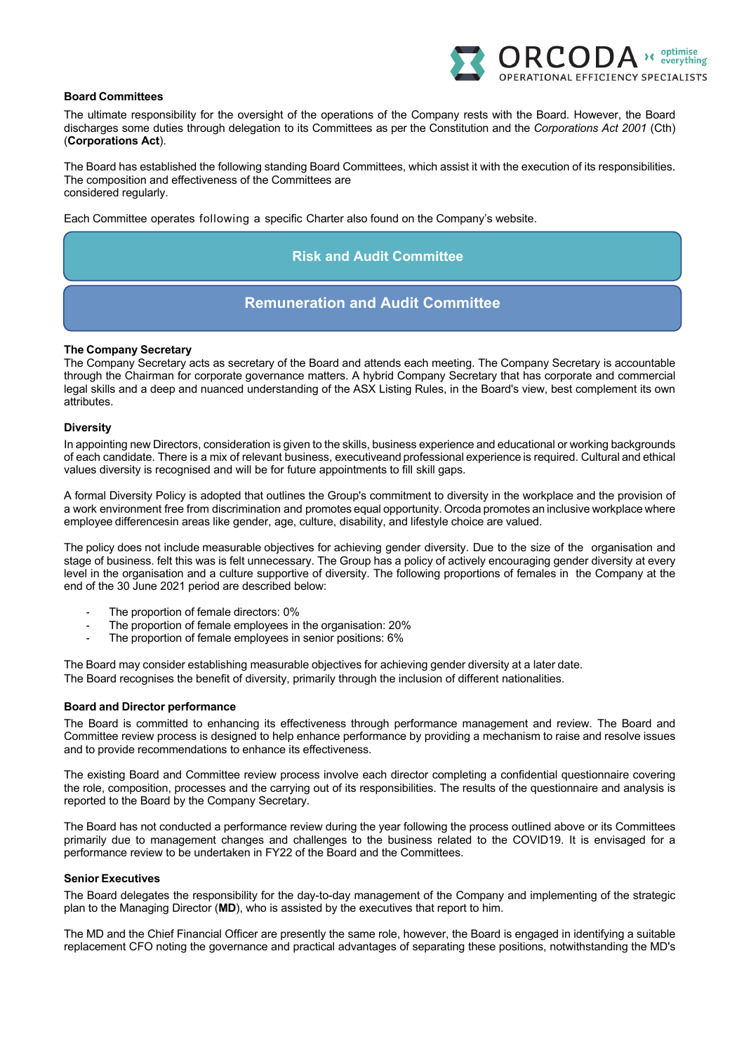

## **Board Committees**

The ultimate responsibility for the oversight of the operations of the Company rests with the Board. However, the Board discharges some duties through delegation to its Committees as per the Constitution and the *Corporations Act 2001* (Cth) (**Corporations Act**).

The Board has established the following standing Board Committees, which assist it with the execution of its responsibilities. The composition and effectiveness of the Committees are considered regularly.

Each Committee operates following a specific Charter also found on the Company's website.

## **Risk and Audit Committee**

## **Remuneration and Audit Committee**

#### **The Company Secretary**

The Company Secretary acts as secretary of the Board and attends each meeting. The Company Secretary is accountable through the Chairman for corporate governance matters. A hybrid Company Secretary that has corporate and commercial legal skills and a deep and nuanced understanding of the ASX Listing Rules, in the Board's view, best complement its own attributes.

#### **Diversity**

In appointing new Directors, consideration is given to the skills, business experience and educational or working backgrounds of each candidate. There is a mix of relevant business, executiveand professional experience is required. Cultural and ethical values diversity is recognised and will be for future appointments to fill skill gaps.

A formal Diversity Policy is adopted that outlines the Group's commitment to diversity in the workplace and the provision of a work environment free from discrimination and promotes equal opportunity. Orcoda promotes an inclusive workplace where employee differencesin areas like gender, age, culture, disability, and lifestyle choice are valued.

The policy does not include measurable objectives for achieving gender diversity. Due to the size of the organisation and stage of business. felt this was is felt unnecessary. The Group has a policy of actively encouraging gender diversity at every level in the organisation and a culture supportive of diversity. The following proportions of females in the Company at the end of the 30 June 2021 period are described below:

- The proportion of female directors: 0%
- The proportion of female employees in the organisation: 20%
- The proportion of female employees in senior positions: 6%

The Board may consider establishing measurable objectives for achieving gender diversity at a later date. The Board recognises the benefit of diversity, primarily through the inclusion of different nationalities.

## **Board and Director performance**

The Board is committed to enhancing its effectiveness through performance management and review. The Board and Committee review process is designed to help enhance performance by providing a mechanism to raise and resolve issues and to provide recommendations to enhance its effectiveness.

The existing Board and Committee review process involve each director completing a confidential questionnaire covering the role, composition, processes and the carrying out of its responsibilities. The results of the questionnaire and analysis is reported to the Board by the Company Secretary.

The Board has not conducted a performance review during the year following the process outlined above or its Committees primarily due to management changes and challenges to the business related to the COVID19. It is envisaged for a performance review to be undertaken in FY22 of the Board and the Committees.

#### **Senior Executives**

The Board delegates the responsibility for the day-to-day management of the Company and implementing of the strategic plan to the Managing Director (**MD**), who is assisted by the executives that report to him.

The MD and the Chief Financial Officer are presently the same role, however, the Board is engaged in identifying a suitable replacement CFO noting the governance and practical advantages of separating these positions, notwithstanding the MD's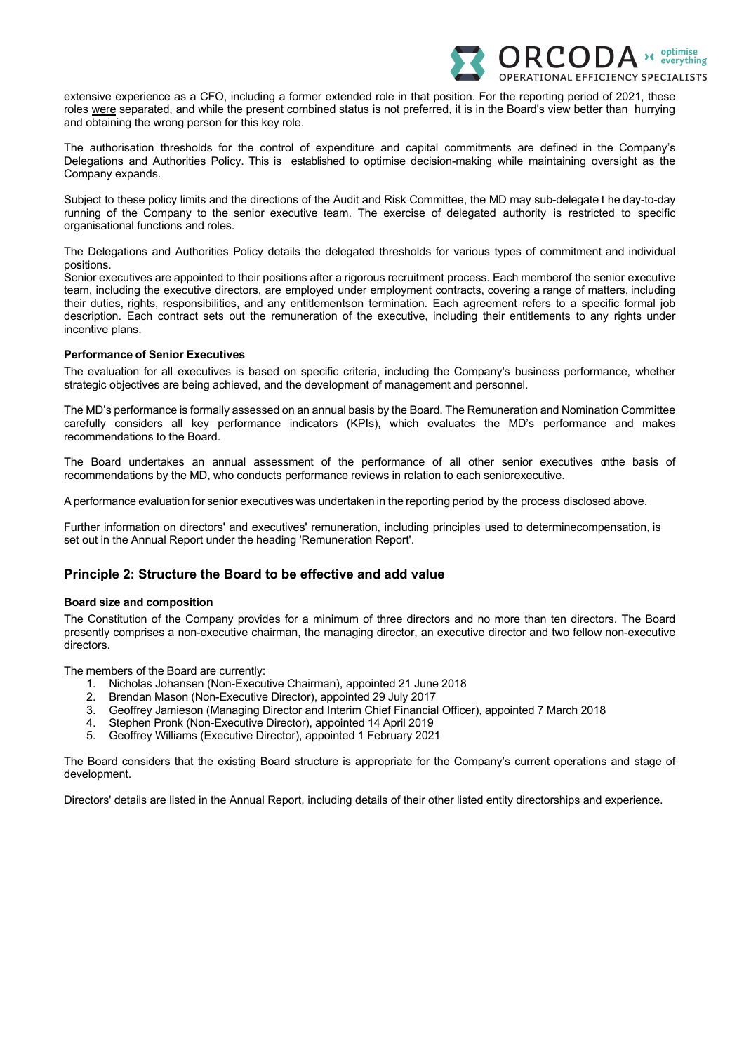

extensive experience as a CFO, including a former extended role in that position. For the reporting period of 2021, these roles were separated, and while the present combined status is not preferred, it is in the Board's view better than hurrying and obtaining the wrong person for this key role.

The authorisation thresholds for the control of expenditure and capital commitments are defined in the Company's Delegations and Authorities Policy. This is established to optimise decision-making while maintaining oversight as the Company expands.

Subject to these policy limits and the directions of the Audit and Risk Committee, the MD may sub-delegate t he day-to-day running of the Company to the senior executive team. The exercise of delegated authority is restricted to specific organisational functions and roles.

The Delegations and Authorities Policy details the delegated thresholds for various types of commitment and individual positions.

Senior executives are appointed to their positions after a rigorous recruitment process. Each memberof the senior executive team, including the executive directors, are employed under employment contracts, covering a range of matters, including their duties, rights, responsibilities, and any entitlementson termination. Each agreement refers to a specific formal job description. Each contract sets out the remuneration of the executive, including their entitlements to any rights under incentive plans.

#### **Performance of Senior Executives**

The evaluation for all executives is based on specific criteria, including the Company's business performance, whether strategic objectives are being achieved, and the development of management and personnel.

The MD's performance is formally assessed on an annual basis by the Board. The Remuneration and Nomination Committee carefully considers all key performance indicators (KPIs), which evaluates the MD's performance and makes recommendations to the Board.

The Board undertakes an annual assessment of the performance of all other senior executives onthe basis of recommendations by the MD, who conducts performance reviews in relation to each seniorexecutive.

A performance evaluation for senior executives was undertaken in the reporting period by the process disclosed above.

Further information on directors' and executives' remuneration, including principles used to determinecompensation, is set out in the Annual Report under the heading 'Remuneration Report'.

## **Principle 2: Structure the Board to be effective and add value**

## **Board size and composition**

The Constitution of the Company provides for a minimum of three directors and no more than ten directors. The Board presently comprises a non-executive chairman, the managing director, an executive director and two fellow non-executive directors.

The members of the Board are currently:

- 1. Nicholas Johansen (Non-Executive Chairman), appointed 21 June 2018
- 2. Brendan Mason (Non-Executive Director), appointed 29 July 2017
- 3. Geoffrey Jamieson (Managing Director and Interim Chief Financial Officer), appointed 7 March 2018
- 4. Stephen Pronk (Non-Executive Director), appointed 14 April 2019
- 5. Geoffrey Williams (Executive Director), appointed 1 February 2021

The Board considers that the existing Board structure is appropriate for the Company's current operations and stage of development.

Directors' details are listed in the Annual Report, including details of their other listed entity directorships and experience.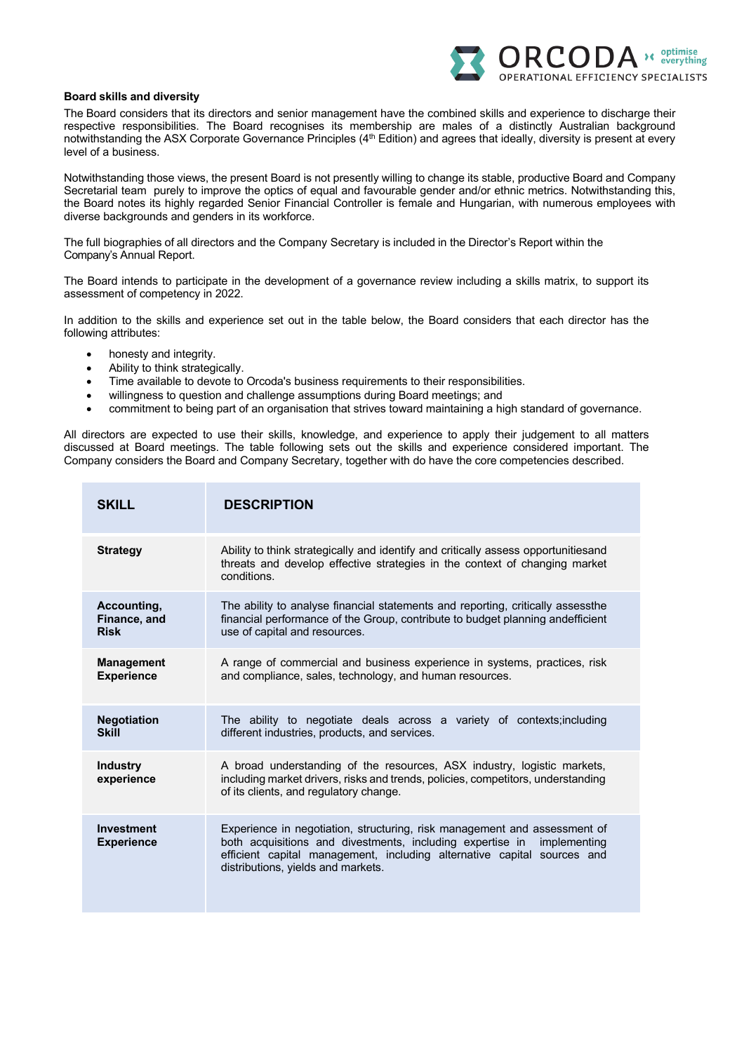

#### **Board skills and diversity**

The Board considers that its directors and senior management have the combined skills and experience to discharge their respective responsibilities. The Board recognises its membership are males of a distinctly Australian background notwithstanding the ASX Corporate Governance Principles (4<sup>th</sup> Edition) and agrees that ideally, diversity is present at every level of a business.

Notwithstanding those views, the present Board is not presently willing to change its stable, productive Board and Company Secretarial team purely to improve the optics of equal and favourable gender and/or ethnic metrics. Notwithstanding this, the Board notes its highly regarded Senior Financial Controller is female and Hungarian, with numerous employees with diverse backgrounds and genders in its workforce.

The full biographies of all directors and the Company Secretary is included in the Director's Report within the Company's Annual Report.

The Board intends to participate in the development of a governance review including a skills matrix, to support its assessment of competency in 2022.

In addition to the skills and experience set out in the table below, the Board considers that each director has the following attributes:

- honesty and integrity.
- Ability to think strategically.
- Time available to devote to Orcoda's business requirements to their responsibilities.
- willingness to question and challenge assumptions during Board meetings; and
- commitment to being part of an organisation that strives toward maintaining a high standard of governance.

All directors are expected to use their skills, knowledge, and experience to apply their judgement to all matters discussed at Board meetings. The table following sets out the skills and experience considered important. The Company considers the Board and Company Secretary, together with do have the core competencies described.

| <b>SKILL</b>                               | <b>DESCRIPTION</b>                                                                                                                                                                                                                                                      |
|--------------------------------------------|-------------------------------------------------------------------------------------------------------------------------------------------------------------------------------------------------------------------------------------------------------------------------|
| <b>Strategy</b>                            | Ability to think strategically and identify and critically assess opportunitiesand<br>threats and develop effective strategies in the context of changing market<br>conditions.                                                                                         |
| Accounting,<br>Finance, and<br><b>Risk</b> | The ability to analyse financial statements and reporting, critically assessthe<br>financial performance of the Group, contribute to budget planning and efficient<br>use of capital and resources.                                                                     |
| <b>Management</b><br><b>Experience</b>     | A range of commercial and business experience in systems, practices, risk<br>and compliance, sales, technology, and human resources.                                                                                                                                    |
| <b>Negotiation</b><br><b>Skill</b>         | The ability to negotiate deals across a variety of contexts; including<br>different industries, products, and services.                                                                                                                                                 |
| <b>Industry</b><br>experience              | A broad understanding of the resources, ASX industry, logistic markets,<br>including market drivers, risks and trends, policies, competitors, understanding<br>of its clients, and regulatory change.                                                                   |
| Investment<br><b>Experience</b>            | Experience in negotiation, structuring, risk management and assessment of<br>both acquisitions and divestments, including expertise in<br>implementing<br>efficient capital management, including alternative capital sources and<br>distributions, yields and markets. |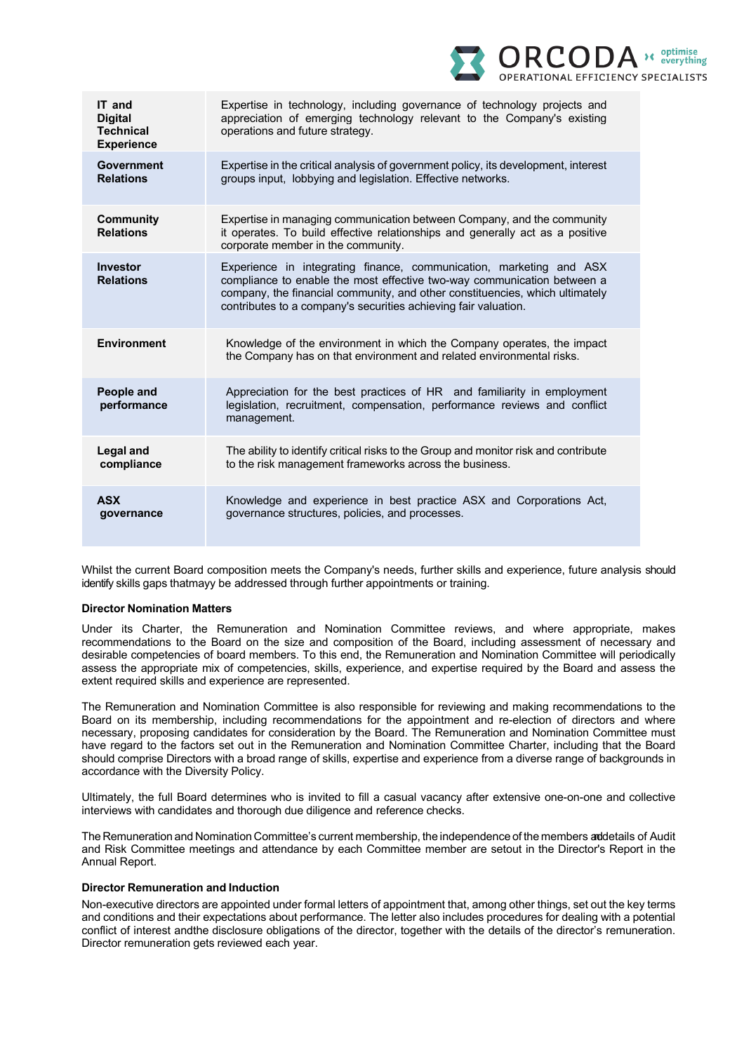

| IT and<br><b>Digital</b><br><b>Technical</b><br><b>Experience</b> | Expertise in technology, including governance of technology projects and<br>appreciation of emerging technology relevant to the Company's existing<br>operations and future strategy.                                                                                                             |
|-------------------------------------------------------------------|---------------------------------------------------------------------------------------------------------------------------------------------------------------------------------------------------------------------------------------------------------------------------------------------------|
| <b>Government</b><br><b>Relations</b>                             | Expertise in the critical analysis of government policy, its development, interest<br>groups input, lobbying and legislation. Effective networks.                                                                                                                                                 |
| Community<br><b>Relations</b>                                     | Expertise in managing communication between Company, and the community<br>it operates. To build effective relationships and generally act as a positive<br>corporate member in the community.                                                                                                     |
| Investor<br><b>Relations</b>                                      | Experience in integrating finance, communication, marketing and ASX<br>compliance to enable the most effective two-way communication between a<br>company, the financial community, and other constituencies, which ultimately<br>contributes to a company's securities achieving fair valuation. |
| <b>Environment</b>                                                | Knowledge of the environment in which the Company operates, the impact<br>the Company has on that environment and related environmental risks.                                                                                                                                                    |
| <b>People and</b><br>performance                                  | Appreciation for the best practices of HR and familiarity in employment<br>legislation, recruitment, compensation, performance reviews and conflict<br>management.                                                                                                                                |
| <b>Legal and</b><br>compliance                                    | The ability to identify critical risks to the Group and monitor risk and contribute<br>to the risk management frameworks across the business.                                                                                                                                                     |
| <b>ASX</b><br>governance                                          | Knowledge and experience in best practice ASX and Corporations Act,<br>governance structures, policies, and processes.                                                                                                                                                                            |

Whilst the current Board composition meets the Company's needs, further skills and experience, future analysis should identify skills gaps thatmayy be addressed through further appointments or training.

## **Director Nomination Matters**

Under its Charter, the Remuneration and Nomination Committee reviews, and where appropriate, makes recommendations to the Board on the size and composition of the Board, including assessment of necessary and desirable competencies of board members. To this end, the Remuneration and Nomination Committee will periodically assess the appropriate mix of competencies, skills, experience, and expertise required by the Board and assess the extent required skills and experience are represented.

The Remuneration and Nomination Committee is also responsible for reviewing and making recommendations to the Board on its membership, including recommendations for the appointment and re-election of directors and where necessary, proposing candidates for consideration by the Board. The Remuneration and Nomination Committee must have regard to the factors set out in the Remuneration and Nomination Committee Charter, including that the Board should comprise Directors with a broad range of skills, expertise and experience from a diverse range of backgrounds in accordance with the Diversity Policy.

Ultimately, the full Board determines who is invited to fill a casual vacancy after extensive one-on-one and collective interviews with candidates and thorough due diligence and reference checks.

The Remuneration and Nomination Committee's current membership, the independence of the members addetails of Audit and Risk Committee meetings and attendance by each Committee member are setout in the Director's Report in the Annual Report.

## **Director Remuneration and Induction**

Non-executive directors are appointed under formal letters of appointment that, among other things, set out the key terms and conditions and their expectations about performance. The letter also includes procedures for dealing with a potential conflict of interest andthe disclosure obligations of the director, together with the details of the director's remuneration. Director remuneration gets reviewed each year.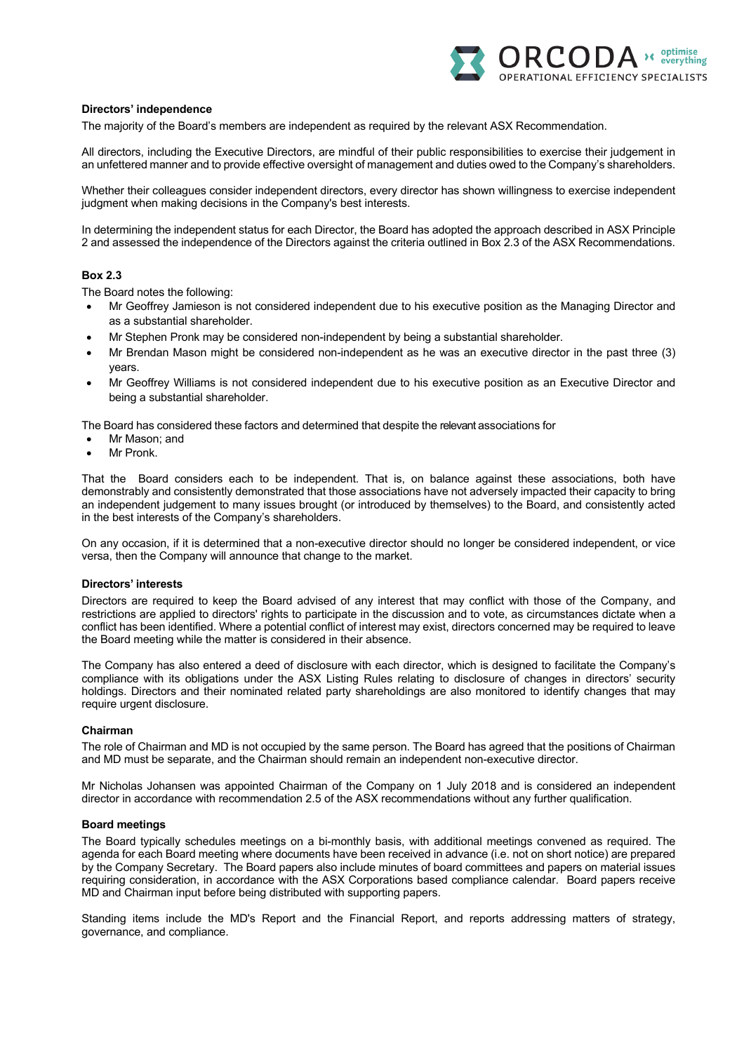

## **Directors' independence**

The majority of the Board's members are independent as required by the relevant ASX Recommendation.

All directors, including the Executive Directors, are mindful of their public responsibilities to exercise their judgement in an unfettered manner and to provide effective oversight of management and duties owed to the Company's shareholders.

Whether their colleagues consider independent directors, every director has shown willingness to exercise independent judgment when making decisions in the Company's best interests.

In determining the independent status for each Director, the Board has adopted the approach described in ASX Principle 2 and assessed the independence of the Directors against the criteria outlined in Box 2.3 of the ASX Recommendations.

#### **Box 2.3**

The Board notes the following:

- Mr Geoffrey Jamieson is not considered independent due to his executive position as the Managing Director and as a substantial shareholder.
- Mr Stephen Pronk may be considered non-independent by being a substantial shareholder.
- Mr Brendan Mason might be considered non-independent as he was an executive director in the past three (3) years.
- Mr Geoffrey Williams is not considered independent due to his executive position as an Executive Director and being a substantial shareholder.

The Board has considered these factors and determined that despite the relevant associations for

- Mr Mason; and
- Mr Pronk.

That the Board considers each to be independent. That is, on balance against these associations, both have demonstrably and consistently demonstrated that those associations have not adversely impacted their capacity to bring an independent judgement to many issues brought (or introduced by themselves) to the Board, and consistently acted in the best interests of the Company's shareholders.

On any occasion, if it is determined that a non-executive director should no longer be considered independent, or vice versa, then the Company will announce that change to the market.

#### **Directors' interests**

Directors are required to keep the Board advised of any interest that may conflict with those of the Company, and restrictions are applied to directors' rights to participate in the discussion and to vote, as circumstances dictate when a conflict has been identified. Where a potential conflict of interest may exist, directors concerned may be required to leave the Board meeting while the matter is considered in their absence.

The Company has also entered a deed of disclosure with each director, which is designed to facilitate the Company's compliance with its obligations under the ASX Listing Rules relating to disclosure of changes in directors' security holdings. Directors and their nominated related party shareholdings are also monitored to identify changes that may require urgent disclosure.

#### **Chairman**

The role of Chairman and MD is not occupied by the same person. The Board has agreed that the positions of Chairman and MD must be separate, and the Chairman should remain an independent non-executive director.

Mr Nicholas Johansen was appointed Chairman of the Company on 1 July 2018 and is considered an independent director in accordance with recommendation 2.5 of the ASX recommendations without any further qualification.

#### **Board meetings**

The Board typically schedules meetings on a bi-monthly basis, with additional meetings convened as required. The agenda for each Board meeting where documents have been received in advance (i.e. not on short notice) are prepared by the Company Secretary. The Board papers also include minutes of board committees and papers on material issues requiring consideration, in accordance with the ASX Corporations based compliance calendar. Board papers receive MD and Chairman input before being distributed with supporting papers.

Standing items include the MD's Report and the Financial Report, and reports addressing matters of strategy, governance, and compliance.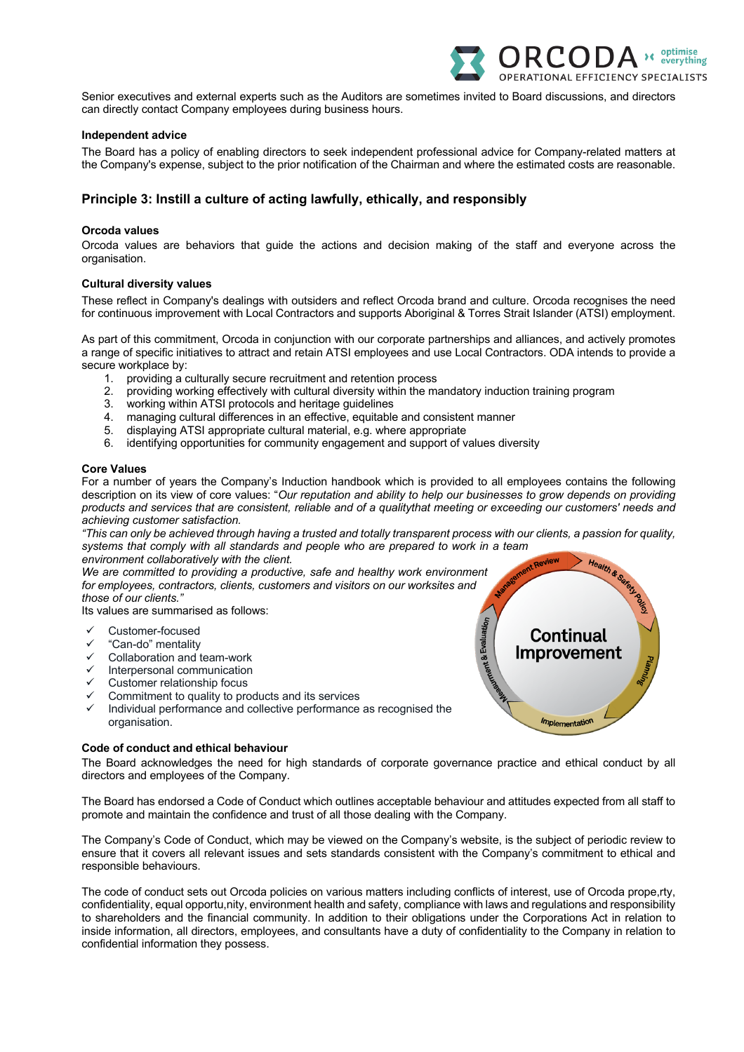

**Continual** Improvement

Implementation

Senior executives and external experts such as the Auditors are sometimes invited to Board discussions, and directors can directly contact Company employees during business hours.

### **Independent advice**

The Board has a policy of enabling directors to seek independent professional advice for Company-related matters at the Company's expense, subject to the prior notification of the Chairman and where the estimated costs are reasonable.

## **Principle 3: Instill a culture of acting lawfully, ethically, and responsibly**

### **Orcoda values**

Orcoda values are behaviors that guide the actions and decision making of the staff and everyone across the organisation.

## **Cultural diversity values**

These reflect in Company's dealings with outsiders and reflect Orcoda brand and culture. Orcoda recognises the need for continuous improvement with Local Contractors and supports Aboriginal & Torres Strait Islander (ATSI) employment.

As part of this commitment, Orcoda in conjunction with our corporate partnerships and alliances, and actively promotes a range of specific initiatives to attract and retain ATSI employees and use Local Contractors. ODA intends to provide a secure workplace by:

- 1. providing a culturally secure recruitment and retention process
- 2. providing working effectively with cultural diversity within the mandatory induction training program
- working within ATSI protocols and heritage guidelines
- 4. managing cultural differences in an effective, equitable and consistent manner
- 5. displaying ATSI appropriate cultural material, e.g. where appropriate
- identifying opportunities for community engagement and support of values diversity

#### **Core Values**

For a number of years the Company's Induction handbook which is provided to all employees contains the following description on its view of core values: "*Our reputation and ability to help our businesses to grow depends on providing products and services that are consistent, reliable and of a qualitythat meeting or exceeding our customers' needs and achieving customer satisfaction.* 

*"This can only be achieved through having a trusted and totally transparent process with our clients, a passion for quality, systems that comply with all standards and people who are prepared to work in a team*  Health & Safety *environment collaboratively with the client.*

*We are committed to providing a productive, safe and healthy work environment for employees, contractors, clients, customers and visitors on our worksites and those of our clients."*

Its values are summarised as follows:

- Customer-focused
- ü "Can-do" mentality
- $\checkmark$  Collaboration and team-work
- Interpersonal communication
- Customer relationship focus
- $\checkmark$  Commitment to quality to products and its services  $\checkmark$  Individual performance and collective performance
- Individual performance and collective performance as recognised the organisation.

#### **Code of conduct and ethical behaviour**

The Board acknowledges the need for high standards of corporate governance practice and ethical conduct by all directors and employees of the Company.

The Board has endorsed a Code of Conduct which outlines acceptable behaviour and attitudes expected from all staff to promote and maintain the confidence and trust of all those dealing with the Company.

The Company's Code of Conduct, which may be viewed on the Company's website, is the subject of periodic review to ensure that it covers all relevant issues and sets standards consistent with the Company's commitment to ethical and responsible behaviours.

The code of conduct sets out Orcoda policies on various matters including conflicts of interest, use of Orcoda prope,rty, confidentiality, equal opportu,nity, environment health and safety, compliance with laws and regulations and responsibility to shareholders and the financial community. In addition to their obligations under the Corporations Act in relation to inside information, all directors, employees, and consultants have a duty of confidentiality to the Company in relation to confidential information they possess.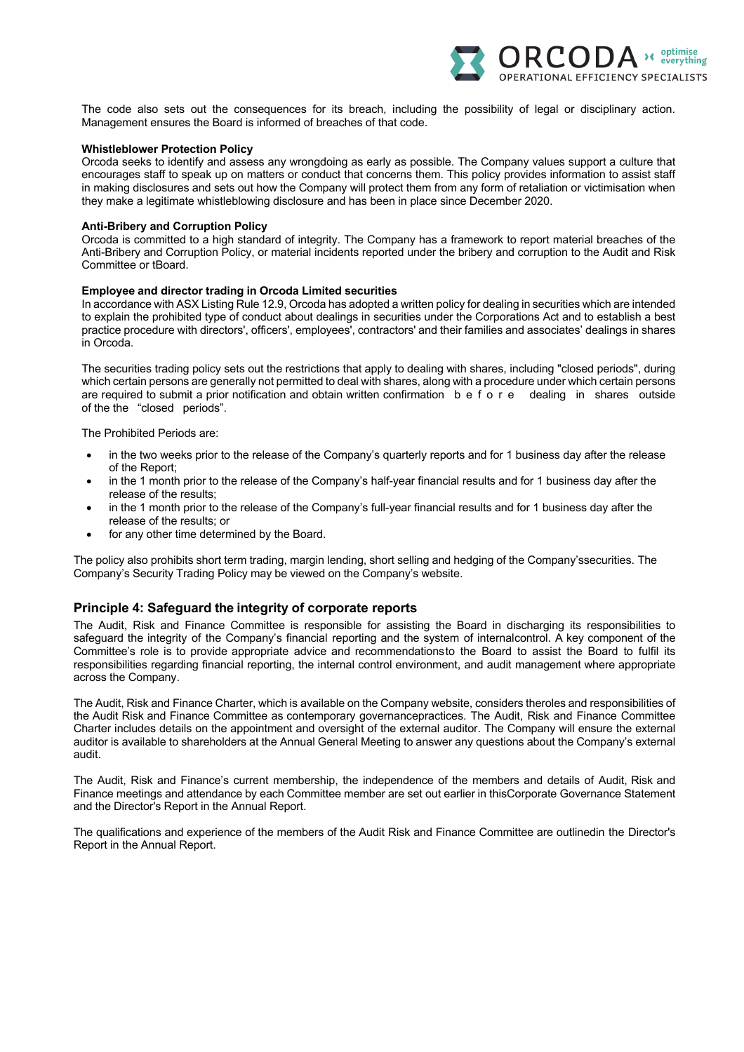

The code also sets out the consequences for its breach, including the possibility of legal or disciplinary action. Management ensures the Board is informed of breaches of that code.

### **Whistleblower Protection Policy**

Orcoda seeks to identify and assess any wrongdoing as early as possible. The Company values support a culture that encourages staff to speak up on matters or conduct that concerns them. This policy provides information to assist staff in making disclosures and sets out how the Company will protect them from any form of retaliation or victimisation when they make a legitimate whistleblowing disclosure and has been in place since December 2020.

#### **Anti-Bribery and Corruption Policy**

Orcoda is committed to a high standard of integrity. The Company has a framework to report material breaches of the Anti-Bribery and Corruption Policy, or material incidents reported under the bribery and corruption to the Audit and Risk Committee or tBoard.

#### **Employee and director trading in Orcoda Limited securities**

In accordance with ASX Listing Rule 12.9, Orcoda has adopted a written policy for dealing in securities which are intended to explain the prohibited type of conduct about dealings in securities under the Corporations Act and to establish a best practice procedure with directors', officers', employees', contractors' and their families and associates' dealings in shares in Orcoda.

The securities trading policy sets out the restrictions that apply to dealing with shares, including "closed periods", during which certain persons are generally not permitted to deal with shares, along with a procedure under which certain persons are required to submit a prior notification and obtain written confirmation b e f o r e dealing in shares outside of the the "closed periods".

The Prohibited Periods are:

- in the two weeks prior to the release of the Company's quarterly reports and for 1 business day after the release of the Report;
- in the 1 month prior to the release of the Company's half-year financial results and for 1 business day after the release of the results;
- in the 1 month prior to the release of the Company's full-year financial results and for 1 business day after the release of the results; or
- for any other time determined by the Board.

The policy also prohibits short term trading, margin lending, short selling and hedging of the Company'ssecurities. The Company's Security Trading Policy may be viewed on the Company's website.

## **Principle 4: Safeguard the integrity of corporate reports**

The Audit, Risk and Finance Committee is responsible for assisting the Board in discharging its responsibilities to safeguard the integrity of the Company's financial reporting and the system of internalcontrol. A key component of the Committee's role is to provide appropriate advice and recommendationsto the Board to assist the Board to fulfil its responsibilities regarding financial reporting, the internal control environment, and audit management where appropriate across the Company.

The Audit, Risk and Finance Charter, which is available on the Company website, considers theroles and responsibilities of the Audit Risk and Finance Committee as contemporary governancepractices. The Audit, Risk and Finance Committee Charter includes details on the appointment and oversight of the external auditor. The Company will ensure the external auditor is available to shareholders at the Annual General Meeting to answer any questions about the Company's external audit.

The Audit, Risk and Finance's current membership, the independence of the members and details of Audit, Risk and Finance meetings and attendance by each Committee member are set out earlier in thisCorporate Governance Statement and the Director's Report in the Annual Report.

The qualifications and experience of the members of the Audit Risk and Finance Committee are outlinedin the Director's Report in the Annual Report.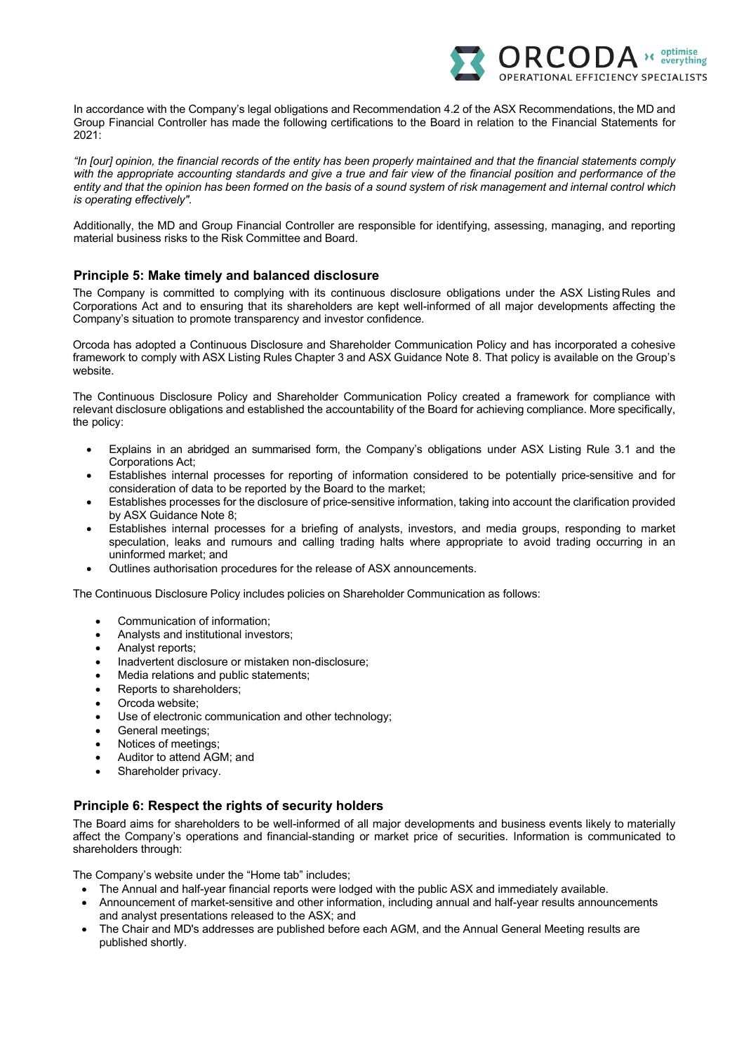

In accordance with the Company's legal obligations and Recommendation 4.2 of the ASX Recommendations, the MD and Group Financial Controller has made the following certifications to the Board in relation to the Financial Statements for 2021:

*"In [our] opinion, the financial records of the entity has been properly maintained and that the financial statements comply with the appropriate accounting standards and give a true and fair view of the financial position and performance of the entity and that the opinion has been formed on the basis of a sound system of risk management and internal control which is operating effectively".*

Additionally, the MD and Group Financial Controller are responsible for identifying, assessing, managing, and reporting material business risks to the Risk Committee and Board.

## **Principle 5: Make timely and balanced disclosure**

The Company is committed to complying with its continuous disclosure obligations under the ASX ListingRules and Corporations Act and to ensuring that its shareholders are kept well-informed of all major developments affecting the Company's situation to promote transparency and investor confidence.

Orcoda has adopted a Continuous Disclosure and Shareholder Communication Policy and has incorporated a cohesive framework to comply with ASX Listing Rules Chapter 3 and ASX Guidance Note 8. That policy is available on the Group's website.

The Continuous Disclosure Policy and Shareholder Communication Policy created a framework for compliance with relevant disclosure obligations and established the accountability of the Board for achieving compliance. More specifically, the policy:

- Explains in an abridged an summarised form, the Company's obligations under ASX Listing Rule 3.1 and the Corporations Act;
- Establishes internal processes for reporting of information considered to be potentially price-sensitive and for consideration of data to be reported by the Board to the market;
- Establishes processes for the disclosure of price-sensitive information, taking into account the clarification provided by ASX Guidance Note 8;
- Establishes internal processes for a briefing of analysts, investors, and media groups, responding to market speculation, leaks and rumours and calling trading halts where appropriate to avoid trading occurring in an uninformed market; and
- Outlines authorisation procedures for the release of ASX announcements.

The Continuous Disclosure Policy includes policies on Shareholder Communication as follows:

- Communication of information;
- Analysts and institutional investors;
- Analyst reports;
- Inadvertent disclosure or mistaken non-disclosure;
- Media relations and public statements;
- Reports to shareholders;
- Orcoda website;
- Use of electronic communication and other technology;
- General meetings:
- Notices of meetings;
- Auditor to attend AGM; and
- Shareholder privacy.

## **Principle 6: Respect the rights of security holders**

The Board aims for shareholders to be well-informed of all major developments and business events likely to materially affect the Company's operations and financial-standing or market price of securities. Information is communicated to shareholders through:

The Company's website under the "Home tab" includes;

- The Annual and half-year financial reports were lodged with the public ASX and immediately available.
- Announcement of market-sensitive and other information, including annual and half-year results announcements and analyst presentations released to the ASX; and
- The Chair and MD's addresses are published before each AGM, and the Annual General Meeting results are published shortly.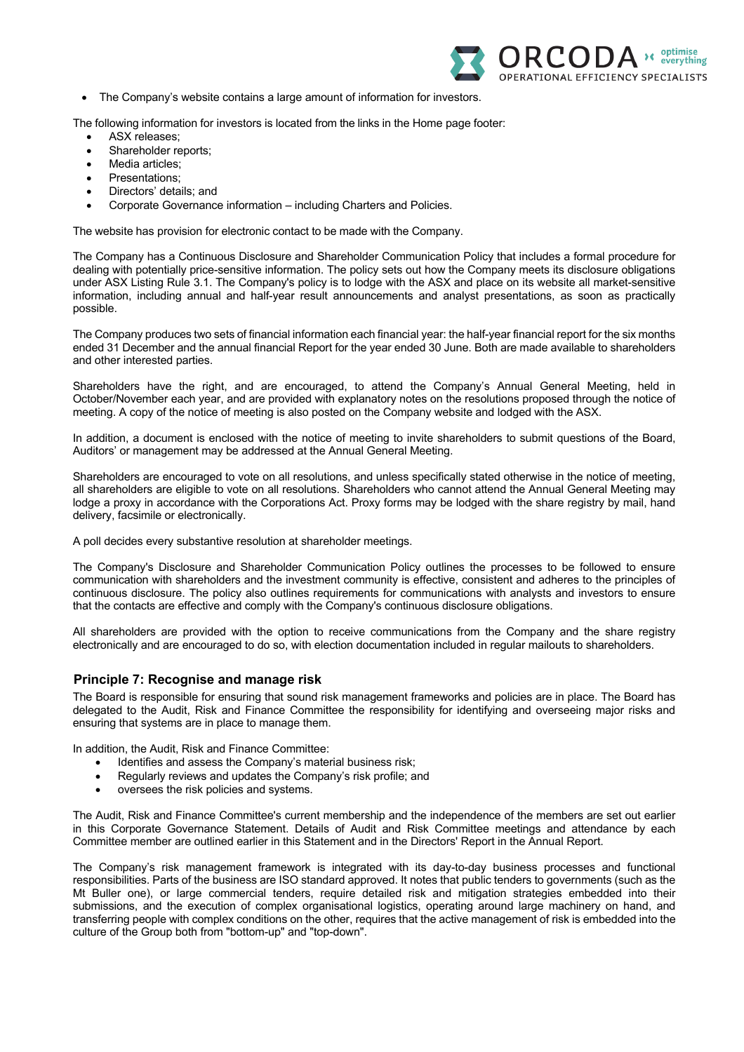

• The Company's website contains a large amount of information for investors.

The following information for investors is located from the links in the Home page footer:

- ASX releases:
- Shareholder reports;
- Media articles:
- Presentations;
- Directors' details; and
- Corporate Governance information including Charters and Policies.

The website has provision for electronic contact to be made with the Company.

The Company has a Continuous Disclosure and Shareholder Communication Policy that includes a formal procedure for dealing with potentially price-sensitive information. The policy sets out how the Company meets its disclosure obligations under ASX Listing Rule 3.1. The Company's policy is to lodge with the ASX and place on its website all market-sensitive information, including annual and half-year result announcements and analyst presentations, as soon as practically possible.

The Company produces two sets of financial information each financial year: the half-year financial report for the six months ended 31 December and the annual financial Report for the year ended 30 June. Both are made available to shareholders and other interested parties.

Shareholders have the right, and are encouraged, to attend the Company's Annual General Meeting, held in October/November each year, and are provided with explanatory notes on the resolutions proposed through the notice of meeting. A copy of the notice of meeting is also posted on the Company website and lodged with the ASX.

In addition, a document is enclosed with the notice of meeting to invite shareholders to submit questions of the Board, Auditors' or management may be addressed at the Annual General Meeting.

Shareholders are encouraged to vote on all resolutions, and unless specifically stated otherwise in the notice of meeting, all shareholders are eligible to vote on all resolutions. Shareholders who cannot attend the Annual General Meeting may lodge a proxy in accordance with the Corporations Act. Proxy forms may be lodged with the share registry by mail, hand delivery, facsimile or electronically.

A poll decides every substantive resolution at shareholder meetings.

The Company's Disclosure and Shareholder Communication Policy outlines the processes to be followed to ensure communication with shareholders and the investment community is effective, consistent and adheres to the principles of continuous disclosure. The policy also outlines requirements for communications with analysts and investors to ensure that the contacts are effective and comply with the Company's continuous disclosure obligations.

All shareholders are provided with the option to receive communications from the Company and the share registry electronically and are encouraged to do so, with election documentation included in regular mailouts to shareholders.

## **Principle 7: Recognise and manage risk**

The Board is responsible for ensuring that sound risk management frameworks and policies are in place. The Board has delegated to the Audit, Risk and Finance Committee the responsibility for identifying and overseeing major risks and ensuring that systems are in place to manage them.

In addition, the Audit, Risk and Finance Committee:

- Identifies and assess the Company's material business risk;
- Regularly reviews and updates the Company's risk profile; and
- oversees the risk policies and systems.

The Audit, Risk and Finance Committee's current membership and the independence of the members are set out earlier in this Corporate Governance Statement. Details of Audit and Risk Committee meetings and attendance by each Committee member are outlined earlier in this Statement and in the Directors' Report in the Annual Report.

The Company's risk management framework is integrated with its day-to-day business processes and functional responsibilities. Parts of the business are ISO standard approved. It notes that public tenders to governments (such as the Mt Buller one), or large commercial tenders, require detailed risk and mitigation strategies embedded into their submissions, and the execution of complex organisational logistics, operating around large machinery on hand, and transferring people with complex conditions on the other, requires that the active management of risk is embedded into the culture of the Group both from "bottom-up" and "top-down".